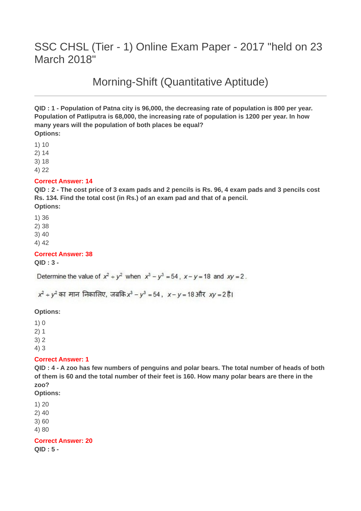# SSC CHSL (Tier - 1) Online Exam Paper - 2017 "held on 23 March 2018"

Morning-Shift (Quantitative Aptitude)

**QID : 1 - Population of Patna city is 96,000, the decreasing rate of population is 800 per year. Population of Patliputra is 68,000, the increasing rate of population is 1200 per year. In how many years will the population of both places be equal? Options:**

1) 10

2) 14

3) 18

4) 22

#### **Correct Answer: 14**

**QID : 2 - The cost price of 3 exam pads and 2 pencils is Rs. 96, 4 exam pads and 3 pencils cost Rs. 134. Find the total cost (in Rs.) of an exam pad and that of a pencil.**

#### **Options:**

1) 36

2) 38

3) 40

4) 42

#### **Correct Answer: 38**

**QID : 3 -**

Determine the value of  $x^2 + y^2$  when  $x^3 - y^3 = 54$ ,  $x - y = 18$  and  $xy = 2$ .

 $x^2 + y^2$  का मान निकालिए, जबकि  $x^3 - y^3 = 54$ ,  $x - y = 18$ और  $xy = 2\overline{6}1$ 

#### **Options:**

1) 0

2) 1

3) 2

4) 3

#### **Correct Answer: 1**

**QID : 4 - A zoo has few numbers of penguins and polar bears. The total number of heads of both of them is 60 and the total number of their feet is 160. How many polar bears are there in the zoo?**

**Options:**

1) 20

2) 40

3) 60

4) 80

**Correct Answer: 20**

**QID : 5 -**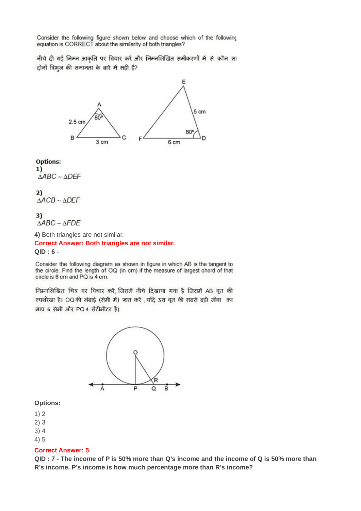Consider the following figure shown below and choose which of the following equation is CORRECT about the similarity of both triangles?

नीचे दी गई निम्न आकृति पर विचार करें और निम्नलिखित समीकरणों में से कौन सा दोनों त्रिभुज की समानता के बारे में सही है?



#### **Options:**

 $1)$  $\triangle ABC \sim \triangle DEF$ 

 $2)$  $\triangle ACB \sim \triangle DEF$ 

#### $3)$  $\triangle ABC \sim \triangle FDE$

**4)** Both triangles are not similar.

**Correct Answer: Both triangles are not similar. QID : 6 -**

Consider the following diagram as shown in figure in which AB is the tangent to the circle. Find the length of OQ (in cm) if the measure of largest chord of that circle is 6 cm and PQ is 4 cm.

निम्नलिखित चित्र पर विचार करें, जिसमें नीचे दिखाया गया है जिसमें AB वृत की स्पर्शरेखा है। OQ की लंबाई (सेमी में) जात करें , यदि उस वृत की सबसे बड़ी जीवा का माप 6 सेमी और PQ 4 सेंटीमीटर है।



#### **Options:**

1) 2

- 2) 3
- 3) 4

4) 5

#### **Correct Answer: 5**

**QID : 7 - The income of P is 50% more than Q's income and the income of Q is 50% more than R's income. P's income is how much percentage more than R's income?**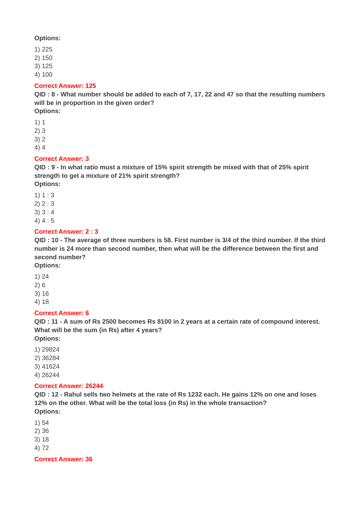### **Options:**

- 1) 225
- 2) 150
- 3) 125
- 4) 100

### **Correct Answer: 125**

**QID : 8 - What number should be added to each of 7, 17, 22 and 47 so that the resulting numbers will be in proportion in the given order? Options:**

1) 1

- 2) 3
- 3) 2
- 4) 4

# **Correct Answer: 3**

**QID : 9 - In what ratio must a mixture of 15% spirit strength be mixed with that of 25% spirit strength to get a mixture of 21% spirit strength?**

**Options:**

- 1) 1 : 3
- 2) 2 : 3
- 3) 3 : 4
- 4) 4 : 5

# **Correct Answer: 2 : 3**

**QID : 10 - The average of three numbers is 58. First number is 3/4 of the third number. If the third number is 24 more than second number, then what will be the difference between the first and second number?**

**Options:**

- 1) 24
- 2) 6
- 3) 16

4) 18

# **Correct Answer: 6**

**QID : 11 - A sum of Rs 2500 becomes Rs 8100 in 2 years at a certain rate of compound interest. What will be the sum (in Rs) after 4 years?**

**Options:**

- 1) 29824
- 2) 36284
- 3) 41624
- 4) 26244

# **Correct Answer: 26244**

**QID : 12 - Rahul sells two helmets at the rate of Rs 1232 each. He gains 12% on one and loses 12% on the other. What will be the total loss (in Rs) in the whole transaction? Options:**

- 1) 54
- 2) 36
- 3) 18
- 4) 72

**Correct Answer: 36**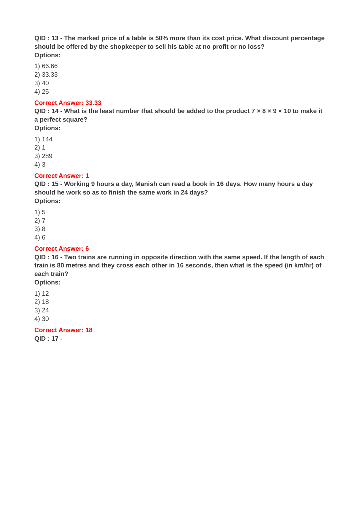**QID : 13 - The marked price of a table is 50% more than its cost price. What discount percentage should be offered by the shopkeeper to sell his table at no profit or no loss? Options:**

- 1) 66.66
- 2) 33.33
- 3) 40
- 4) 25

### **Correct Answer: 33.33**

**QID : 14 - What is the least number that should be added to the product 7 × 8 × 9 × 10 to make it a perfect square?**

- **Options:**
- 1) 144
- 2) 1
- 3) 289
- 4) 3

# **Correct Answer: 1**

**QID : 15 - Working 9 hours a day, Manish can read a book in 16 days. How many hours a day should he work so as to finish the same work in 24 days? Options:**

- 
- 1) 5
- 2) 7
- 3) 8
- 4) 6

# **Correct Answer: 6**

**QID : 16 - Two trains are running in opposite direction with the same speed. If the length of each train is 80 metres and they cross each other in 16 seconds, then what is the speed (in km/hr) of each train?**

**Options:**

- 1) 12
- 2) 18
- 3) 24
- 4) 30

**Correct Answer: 18**

**QID : 17 -**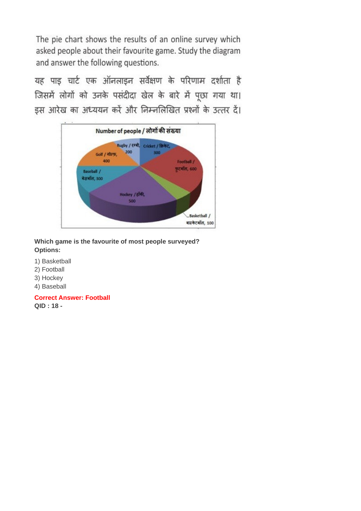यह पाइ चार्ट एक ऑनलाइन सर्वेक्षण के परिणाम दर्शाता है जिसमें लोगों को उनके पसंदीदा खेल के बारे में पूछा गया था। इस आरेख का अध्ययन करें और निम्नलिखित प्रश्नों के उत्तर दें।



# **Which game is the favourite of most people surveyed? Options:**

- 1) Basketball
- 2) Football
- 3) Hockey
- 4) Baseball

**Correct Answer: Football QID : 18 -**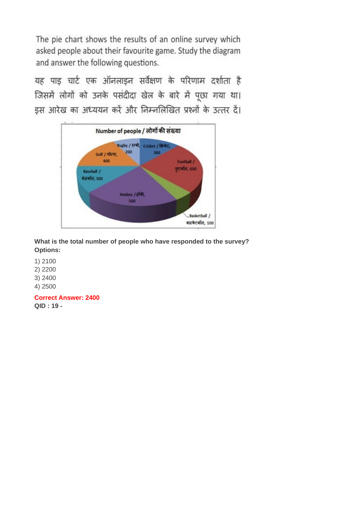यह पाइ चार्ट एक ऑनलाइन सर्वेक्षण के परिणाम दर्शाता है जिसमें लोगों को उनके पसंदीदा खेल के बारे में पूछा गया था। इस आरेख का अध्ययन करें और निम्नलिखित प्रश्नों के उत्तर दें।



**What is the total number of people who have responded to the survey? Options:**

1) 2100

2) 2200

3) 2400

4) 2500

**Correct Answer: 2400 QID : 19 -**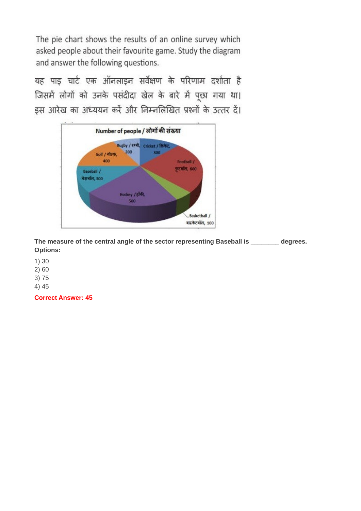यह पाइ चार्ट एक ऑनलाइन सर्वेक्षण के परिणाम दर्शाता है जिसमें लोगों को उनके पसंदीदा खेल के बारे में पूछा गया था। इस आरेख का अध्ययन करें और निम्नलिखित प्रश्नों के उत्तर दें।



**The measure of the central angle of the sector representing Baseball is \_\_\_\_\_\_\_\_ degrees. Options:**

1) 30

2) 60

3) 75

4) 45

**Correct Answer: 45**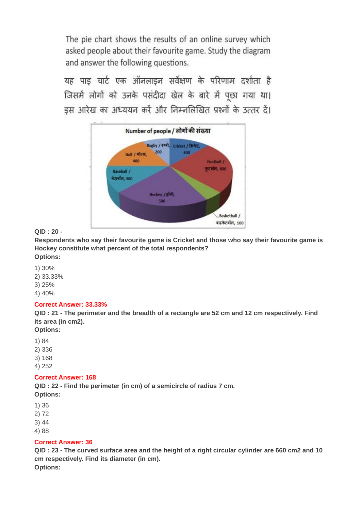यह पाड चार्ट एक ऑनलाइन सर्वेक्षण के परिणाम दर्शाता है जिसमें लोगों को उनके पसंदीदा खेल के बारे में पूछा गया था। इस आरेख का अध्ययन करें और निम्नलिखित प्रश्नों के उत्तर दें।



# **QID : 20 -**

**Respondents who say their favourite game is Cricket and those who say their favourite game is Hockey constitute what percent of the total respondents? Options:**

- 1) 30%
- 2) 33.33%
- 3) 25%
- 4) 40%

# **Correct Answer: 33.33%**

**QID : 21 - The perimeter and the breadth of a rectangle are 52 cm and 12 cm respectively. Find its area (in cm2).**

**Options:**

- 1) 84
- 2) 336
- 3) 168
- 4) 252

# **Correct Answer: 168**

**QID : 22 - Find the perimeter (in cm) of a semicircle of radius 7 cm. Options:**

- 
- 1) 36
- 2) 72
- 3) 44
- 4) 88

# **Correct Answer: 36**

**QID : 23 - The curved surface area and the height of a right circular cylinder are 660 cm2 and 10 cm respectively. Find its diameter (in cm). Options:**